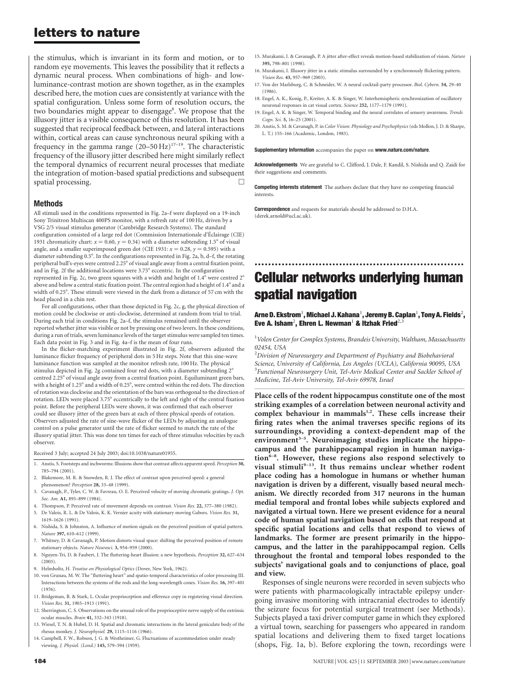# letters to nature

the stimulus, which is invariant in its form and motion, or to random eye movements. This leaves the possibility that it reflects a dynamic neural process. When combinations of high- and lowluminance-contrast motion are shown together, as in the examples described here, the motion cues are consistently at variance with the spatial configuration. Unless some form of resolution occurs, the two boundaries might appear to disengage<sup>8</sup>. We propose that the illusory jitter is a visible consequence of this resolution. It has been suggested that reciprocal feedback between, and lateral interactions within, cortical areas can cause synchronous neural spiking with a frequency in the gamma range (20–50 Hz)17–19. The characteristic frequency of the illusory jitter described here might similarly reflect the temporal dynamics of recurrent neural processes that mediate the integration of motion-based spatial predictions and subsequent spatial processing.

## Methods

All stimuli used in the conditions represented in Fig. 2a–f were displayed on a 19-inch Sony Trinitron Multiscan 400PS monitor, with a refresh rate of 100 Hz, driven by a VSG 2/5 visual stimulus generator (Cambridge Research Systems). The standard configuration consisted of a large red dot (Commission Internationale d'Éclairage (CIE) 1931 chromaticity chart:  $x = 0.60$ ,  $y = 0.34$ ) with a diameter subtending 1.5° of visual angle, and a smaller superimposed green dot (CIE 1931:  $x = 0.28$ ,  $y = 0.595$ ) with a diameter subtending 0.5°. In the configurations represented in Fig. 2a, b, d-f, the rotating peripheral bull's-eyes were centred 2.25° of visual angle away from a central fixation point, and in Fig. 2f the additional locations were  $3.75^{\circ}$  eccentric. In the configuration represented in Fig. 2c, two green squares with a width and height of  $1.4^{\circ}$  were centred  $2^{\circ}$ above and below a central static fixation point. The central region had a height of 1.4° and a width of 0.25°. These stimuli were viewed in the dark from a distance of 57 cm with the head placed in a chin rest.

For all configurations, other than those depicted in Fig. 2c, g, the physical direction of motion could be clockwise or anti-clockwise, determined at random from trial to trial. During each trial in conditions Fig. 2a–f, the stimulus remained until the observer reported whether jitter was visible or not by pressing one of two levers. In these conditions, during a run of trials, seven luminance levels of the target stimulus were sampled ten times. Each data point in Fig. 3 and in Fig. 4a–f is the mean of four runs.

In the flicker-matching experiment illustrated in Fig. 2f, observers adjusted the luminance flicker frequency of peripheral dots in 5 Hz steps. Note that this sine-wave luminance function was sampled at the monitor refresh rate, 100 Hz. The physical stimulus depicted in Fig. 2g contained four red dots, with a diameter subtending  $2^{\circ}$ centred 2.25° of visual angle away from a central fixation point. Equiluminant green bars, with a height of 1.25° and a width of 0.25°, were centred within the red dots. The direction of rotation was clockwise and the orientation of the bars was orthogonal to the direction of rotation. LEDs were placed 3.75° eccentrically to the left and right of the central fixation point. Before the peripheral LEDs were shown, it was confirmed that each observer could see illusory jitter of the green bars at each of three physical speeds of rotation. Observers adjusted the rate of sine-wave flicker of the LEDs by adjusting an analogue control on a pulse generator until the rate of flicker seemed to match the rate of the illusory spatial jitter. This was done ten times for each of three stimulus velocities by each observer.

Received 3 July; accepted 24 July 2003; doi:10.1038/nature01955.

- 1. Anstis, S. Footsteps and inchworms: Illusions show that contrast affects apparent speed. Perception 30, 785–794 (2001).
- 2. Blakemore, M. R. & Snowden, R. J. The effect of contrast upon perceived speed: a general phenomenon? Perception 28, 33–48 (1999).
- 3. Cavanagh, P., Tyler, C. W. & Favreau, O. E. Perceived velocity of moving chromatic gratings. J. Opt. Soc. Am. A1, 893–899 (1984).
- 4. Thompson, P. Perceived rate of movement depends on contrast. Vision Res. 22, 377–380 (1982).
- 5. De Valois, R. L. & De Valois, K. K. Vernier acuity with stationary moving Gabors. Vision Res. 31, 1619–1626 (1991).
- 6. Nishida, S. & Johnston, A. Influence of motion signals on the perceived position of spatial pattern. Nature 397, 610–612 (1999).
- 7. Whitney, D. & Cavanagh, P. Motion distorts visual space: shifting the perceived position of remote stationary objects. Nature Neurosci. 3, 954–959 (2000).
- 8. Nguyen-Tri, D. & Faubert, J. The fluttering-heart illusion: a new hypothesis. Perception 32, 627–634 (2003).
- 9. Helmholtz, H. Treatise on Physiological Optics (Dover, New York, 1962).
- 10. von Grunau, M. W. The "fluttering heart" and spatio-temporal characteristics of color processing III. Interactions between the systems of the rods and the long-wavelength cones. Vision Res. 16, 397–401 (1976).
- 11. Bridgeman, B. & Stark, L. Ocular proprioception and efference copy in registering visual direction. Vision Res. 31, 1903–1913 (1991).
- 12. Sherrington, C. S. Observations on the sensual role of the proprioceptive nerve supply of the extrinsic ocular muscles. Brain 41, 332–343 (1918).
- 13. Wiesel, T. N. & Hubel, D. H. Spatial and chromatic interactions in the lateral geniculate body of the rhesus monkey. J. Neurophysiol. 29, 1115–1116 (1966).
- 14. Campbell, F. W., Robson, J. G. & Westheimer, G. Fluctuations of accommodation under steady viewing. J. Physiol. (Lond.) 145, 579–594 (1959).
- 15. Murakami, I. & Cavanagh, P. A jitter after-effect reveals motion-based stabilization of vision. Nature 395, 798–801 (1998).
- 16. Murakami, I. Illusory jitter in a static stimulus surrounded by a synchronously flickering pattern. Vision Res. 43, 957–969 (2003).
- 17. Von der Marlsburg, C. & Schneider, W. A neural cocktail-party processor. Biol. Cybern. 54, 29–40 (1986).
- 18. Engel, A. K., Konig, P., Kreiter, A. K. & Singer, W. Interhemispheric synchronization of oscillatory neuronal responses in cat visual cortex. Science 252, 1177–1179 (1991).
- 19. Engel, A. K. & Singer, W. Temporal binding and the neural correlates of sensory awareness. Trends Cogn. Sci. 5, 16–25 (2001).
- 20. Anstis, S. M. & Cavanagh, P. in Color Vision: Physiology and Psychophysics (eds Mollon, J. D. & Sharpe, L. T.) 155–166 (Academic, London, 1983).

#### Supplementary Information accompanies the paper on www.nature.com/nature.

Acknowledgements We are grateful to C. Clifford, J. Dale, F. Kandil, S. Nishida and Q. Zaidi for their suggestions and comments.

**Competing interests statement** The authors declare that they have no competing financial interests.

**Correspondence** and requests for materials should be addressed to D.H.A. (derek.arnold@ucl.ac.uk).

# .............................................................. Cellular networks underlying human spatial navigation

## Arne D. Ekstrom $^1$ , Michael J. Kahana $^1$ , Jeremy B. Caplan $^1$ , Tony A. Fields $^2$ , Eve A. Isham<sup>2</sup>, Ehren L. Newman<sup>1</sup> & Itzhak Fried<sup>2,3</sup>

<sup>1</sup>Volen Center for Complex Systems, Brandeis University, Waltham, Massachusetts 02454, USA

 $^2$ Division of Neurosurgery and Department of Psychiatry and Biobehavioral Science, University of California, Los Angeles (UCLA), California 90095, USA <sup>3</sup> Functional Neurosurgery Unit, Tel-Aviv Medical Center and Sackler School of Medicine, Tel-Aviv University, Tel-Aviv 69978, Israel

.............................................................................................................................................................................

Place cells of the rodent hippocampus constitute one of the most striking examples of a correlation between neuronal activity and complex behaviour in mammals $1,2$ . These cells increase their firing rates when the animal traverses specific regions of its surroundings, providing a context-dependent map of the environment $3-5$ . Neuroimaging studies implicate the hippocampus and the parahippocampal region in human navigation<sup>6-8</sup>. However, these regions also respond selectively to visual stimuli<sup>9-13</sup>. It thus remains unclear whether rodent place coding has a homologue in humans or whether human navigation is driven by a different, visually based neural mechanism. We directly recorded from 317 neurons in the human medial temporal and frontal lobes while subjects explored and navigated a virtual town. Here we present evidence for a neural code of human spatial navigation based on cells that respond at specific spatial locations and cells that respond to views of landmarks. The former are present primarily in the hippocampus, and the latter in the parahippocampal region. Cells throughout the frontal and temporal lobes responded to the subjects' navigational goals and to conjunctions of place, goal and view.

Responses of single neurons were recorded in seven subjects who were patients with pharmacologically intractable epilepsy undergoing invasive monitoring with intracranial electrodes to identify the seizure focus for potential surgical treatment (see Methods). Subjects played a taxi driver computer game in which they explored a virtual town, searching for passengers who appeared in random spatial locations and delivering them to fixed target locations (shops, Fig. 1a, b). Before exploring the town, recordings were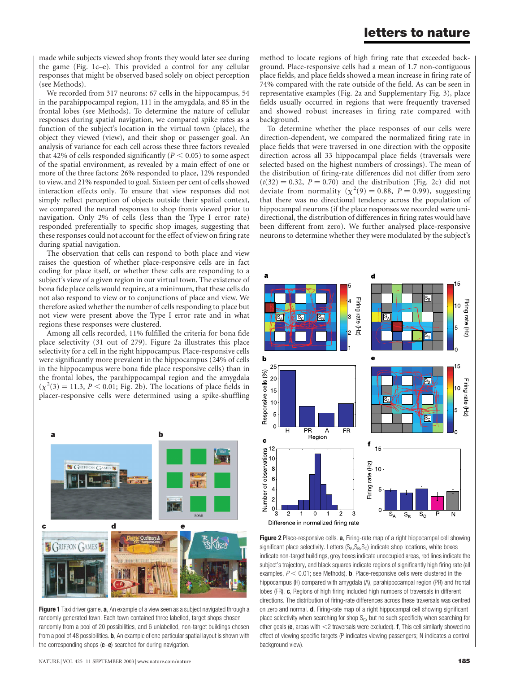made while subjects viewed shop fronts they would later see during the game (Fig. 1c–e). This provided a control for any cellular responses that might be observed based solely on object perception (see Methods).

We recorded from 317 neurons: 67 cells in the hippocampus, 54 in the parahippocampal region, 111 in the amygdala, and 85 in the frontal lobes (see Methods). To determine the nature of cellular responses during spatial navigation, we compared spike rates as a function of the subject's location in the virtual town (place), the object they viewed (view), and their shop or passenger goal. An analysis of variance for each cell across these three factors revealed that 42% of cells responded significantly ( $P < 0.05$ ) to some aspect of the spatial environment, as revealed by a main effect of one or more of the three factors: 26% responded to place, 12% responded to view, and 21% responded to goal. Sixteen per cent of cells showed interaction effects only. To ensure that view responses did not simply reflect perception of objects outside their spatial context, we compared the neural responses to shop fronts viewed prior to navigation. Only 2% of cells (less than the Type I error rate) responded preferentially to specific shop images, suggesting that these responses could not account for the effect of view on firing rate during spatial navigation.

The observation that cells can respond to both place and view raises the question of whether place-responsive cells are in fact coding for place itself, or whether these cells are responding to a subject's view of a given region in our virtual town. The existence of bona fide place cells would require, at a minimum, that these cells do not also respond to view or to conjunctions of place and view. We therefore asked whether the number of cells responding to place but not view were present above the Type I error rate and in what regions these responses were clustered.

Among all cells recorded, 11% fulfilled the criteria for bona fide place selectivity (31 out of 279). Figure 2a illustrates this place selectivity for a cell in the right hippocampus. Place-responsive cells were significantly more prevalent in the hippocampus (24% of cells in the hippocampus were bona fide place responsive cells) than in the frontal lobes, the parahippocampal region and the amygdala  $(\chi^2(3) = 11.3, P < 0.01;$  Fig. 2b). The locations of place fields in placer-responsive cells were determined using a spike-shuffling



Figure 1 Taxi driver game. a, An example of a view seen as a subject navigated through a randomly generated town. Each town contained three labelled, target shops chosen randomly from a pool of 20 possibilities, and 6 unlabelled, non-target buildings chosen from a pool of 48 possibilities. **b**, An example of one particular spatial layout is shown with the corresponding shops  $(c-e)$  searched for during navigation.

method to locate regions of high firing rate that exceeded background. Place-responsive cells had a mean of 1.7 non-contiguous place fields, and place fields showed a mean increase in firing rate of 74% compared with the rate outside of the field. As can be seen in representative examples (Fig. 2a and Supplementary Fig. 3), place fields usually occurred in regions that were frequently traversed and showed robust increases in firing rate compared with background.

To determine whether the place responses of our cells were direction-dependent, we compared the normalized firing rate in place fields that were traversed in one direction with the opposite direction across all 33 hippocampal place fields (traversals were selected based on the highest numbers of crossings). The mean of the distribution of firing-rate differences did not differ from zero  $(t(32) = 0.32, P = 0.70)$  and the distribution (Fig. 2c) did not deviate from normality ( $\chi^2(9) = 0.88$ ,  $P = 0.99$ ), suggesting that there was no directional tendency across the population of hippocampal neurons (if the place responses we recorded were unidirectional, the distribution of differences in firing rates would have been different from zero). We further analysed place-responsive neurons to determine whether they were modulated by the subject's



Figure 2 Place-responsive cells. a, Firing-rate map of a right hippocampal cell showing significant place selectivity. Letters  $(S_A, S_B, S_C)$  indicate shop locations, white boxes indicate non-target buildings, grey boxes indicate unoccupied areas, red lines indicate the subject's trajectory, and black squares indicate regions of significantly high firing rate (all examples,  $P < 0.01$ ; see Methods). **b**, Place-responsive cells were clustered in the hippocampus (H) compared with amygdala (A), parahippocampal region (PR) and frontal lobes (FR). c, Regions of high firing included high numbers of traversals in different directions. The distribution of firing-rate differences across these traversals was centred on zero and normal. d, Firing-rate map of a right hippocampal cell showing significant place selectivity when searching for shop  $S<sub>C</sub>$ , but no such specificity when searching for other goals ( $e$ , areas with  $<$ 2 traversals were excluded). f, This cell similarly showed no effect of viewing specific targets (P indicates viewing passengers; N indicates a control background view).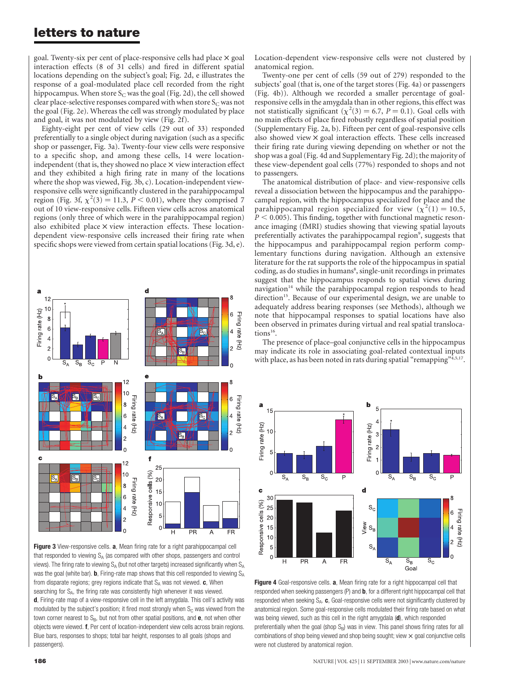# letters to nature

goal. Twenty-six per cent of place-responsive cells had place  $\times$  goal interaction effects (8 of 31 cells) and fired in different spatial locations depending on the subject's goal; Fig. 2d, e illustrates the response of a goal-modulated place cell recorded from the right hippocampus. When store  $S_C$  was the goal (Fig. 2d), the cell showed clear place-selective responses compared with when store  $S_C$  was not the goal (Fig. 2e). Whereas the cell was strongly modulated by place and goal, it was not modulated by view (Fig. 2f).

Eighty-eight per cent of view cells (29 out of 33) responded preferentially to a single object during navigation (such as a specific shop or passenger, Fig. 3a). Twenty-four view cells were responsive to a specific shop, and among these cells, 14 were locationindependent (that is, they showed no place  $\times$  view interaction effect and they exhibited a high firing rate in many of the locations where the shop was viewed, Fig. 3b, c). Location-independent viewresponsive cells were significantly clustered in the parahippocampal region (Fig. 3f,  $\chi^2(3) = 11.3$ ,  $P < 0.01$ ), where they comprised 7 out of 10 view-responsive cells. Fifteen view cells across anatomical regions (only three of which were in the parahippocampal region) also exhibited place  $\times$  view interaction effects. These locationdependent view-responsive cells increased their firing rate when specific shops were viewed from certain spatial locations (Fig. 3d, e).



Figure 3 View-responsive cells. a, Mean firing rate for a right parahippocampal cell that responded to viewing  $S_A$  (as compared with other shops, passengers and control views). The firing rate to viewing  $S_A$  (but not other targets) increased significantly when  $S_A$ was the goal (white bar). **b**, Firing-rate map shows that this cell responded to viewing  $S_A$ from disparate regions; grey regions indicate that  $S_A$  was not viewed.  $c$ , When searching for S<sub>A</sub>, the firing rate was consistently high whenever it was viewed. d, Firing-rate map of a view-responsive cell in the left amygdala. This cell's activity was modulated by the subject's position; it fired most strongly when  $S<sub>c</sub>$  was viewed from the town corner nearest to  $S_B$ , but not from other spatial positions, and  $e$ , not when other objects were viewed. f, Per cent of location-independent view cells across brain regions. Blue bars, responses to shops; total bar height, responses to all goals (shops and passengers).

Location-dependent view-responsive cells were not clustered by anatomical region.

Twenty-one per cent of cells (59 out of 279) responded to the subjects' goal (that is, one of the target stores (Fig. 4a) or passengers (Fig. 4b)). Although we recorded a smaller percentage of goalresponsive cells in the amygdala than in other regions, this effect was not statistically significant  $(\chi^2(3) = 6.7, P = 0.1)$ . Goal cells with no main effects of place fired robustly regardless of spatial position (Supplementary Fig. 2a, b). Fifteen per cent of goal-responsive cells also showed view  $\times$  goal interaction effects. These cells increased their firing rate during viewing depending on whether or not the shop was a goal (Fig. 4d and Supplementary Fig. 2d); the majority of these view-dependent goal cells (77%) responded to shops and not to passengers.

The anatomical distribution of place- and view-responsive cells reveal a dissociation between the hippocampus and the parahippocampal region, with the hippocampus specialized for place and the parahippocampal region specialized for view  $(\chi^2(1) = 10.5,$  $P < 0.005$ ). This finding, together with functional magnetic resonance imaging (fMRI) studies showing that viewing spatial layouts preferentially activates the parahippocampal region<sup>9</sup>, suggests that the hippocampus and parahippocampal region perform complementary functions during navigation. Although an extensive literature for the rat supports the role of the hippocampus in spatial coding, as do studies in humans<sup>8</sup>, single-unit recordings in primates suggest that the hippocampus responds to spatial views during navigation $14$  while the parahippocampal region responds to head direction<sup>15</sup>. Because of our experimental design, we are unable to adequately address bearing responses (see Methods), although we note that hippocampal responses to spatial locations have also been observed in primates during virtual and real spatial translocations<sup>16</sup>.

The presence of place–goal conjunctive cells in the hippocampus may indicate its role in associating goal-related contextual inputs with place, as has been noted in rats during spatial "remapping"<sup>4,5,17</sup>.



Figure 4 Goal-responsive cells. a, Mean firing rate for a right hippocampal cell that responded when seeking passengers  $(P)$  and  $b$ , for a different right hippocampal cell that responded when seeking  $S_A$ . c, Goal-responsive cells were not significantly clustered by anatomical region. Some goal-responsive cells modulated their firing rate based on what was being viewed, such as this cell in the right amygdala (d), which responded preferentially when the goal (shop  $S_B$ ) was in view. This panel shows firing rates for all combinations of shop being viewed and shop being sought; view  $\times$  goal conjunctive cells were not clustered by anatomical region.